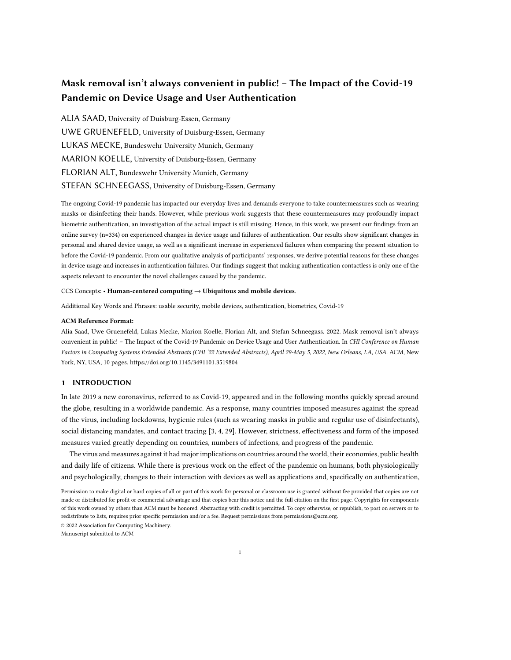# Mask removal isn't always convenient in public! – The Impact of the Covid-19 Pandemic on Device Usage and User Authentication

ALIA SAAD, University of Duisburg-Essen, Germany UWE GRUENEFELD, University of Duisburg-Essen, Germany LUKAS MECKE, Bundeswehr University Munich, Germany MARION KOELLE, University of Duisburg-Essen, Germany FLORIAN ALT, Bundeswehr University Munich, Germany STEFAN SCHNEEGASS, University of Duisburg-Essen, Germany

The ongoing Covid-19 pandemic has impacted our everyday lives and demands everyone to take countermeasures such as wearing masks or disinfecting their hands. However, while previous work suggests that these countermeasures may profoundly impact biometric authentication, an investigation of the actual impact is still missing. Hence, in this work, we present our findings from an online survey (n=334) on experienced changes in device usage and failures of authentication. Our results show significant changes in personal and shared device usage, as well as a significant increase in experienced failures when comparing the present situation to before the Covid-19 pandemic. From our qualitative analysis of participants' responses, we derive potential reasons for these changes in device usage and increases in authentication failures. Our findings suggest that making authentication contactless is only one of the aspects relevant to encounter the novel challenges caused by the pandemic.

### CCS Concepts: • Human-centered computing → Ubiquitous and mobile devices.

Additional Key Words and Phrases: usable security, mobile devices, authentication, biometrics, Covid-19

#### ACM Reference Format:

Alia Saad, Uwe Gruenefeld, Lukas Mecke, Marion Koelle, Florian Alt, and Stefan Schneegass. 2022. Mask removal isn't always convenient in public! - The Impact of the Covid-19 Pandemic on Device Usage and User Authentication. In CHI Conference on Human Factors in Computing Systems Extended Abstracts (CHI '22 Extended Abstracts), April 29-May 5, 2022, New Orleans, LA, USA. ACM, New York, NY, USA, [10](#page-9-0) pages.<https://doi.org/10.1145/3491101.3519804>

#### 1 INTRODUCTION

In late 2019 a new coronavirus, referred to as Covid-19, appeared and in the following months quickly spread around the globe, resulting in a worldwide pandemic. As a response, many countries imposed measures against the spread of the virus, including lockdowns, hygienic rules (such as wearing masks in public and regular use of disinfectants), social distancing mandates, and contact tracing [\[3,](#page-8-0) [4,](#page-8-1) [29\]](#page-9-1). However, strictness, effectiveness and form of the imposed measures varied greatly depending on countries, numbers of infections, and progress of the pandemic.

The virus and measures against it had major implications on countries around the world, their economies, public health and daily life of citizens. While there is previous work on the effect of the pandemic on humans, both physiologically and psychologically, changes to their interaction with devices as well as applications and, specifically on authentication,

© 2022 Association for Computing Machinery.

Manuscript submitted to ACM

Permission to make digital or hard copies of all or part of this work for personal or classroom use is granted without fee provided that copies are not made or distributed for profit or commercial advantage and that copies bear this notice and the full citation on the first page. Copyrights for components of this work owned by others than ACM must be honored. Abstracting with credit is permitted. To copy otherwise, or republish, to post on servers or to redistribute to lists, requires prior specific permission and/or a fee. Request permissions from permissions@acm.org.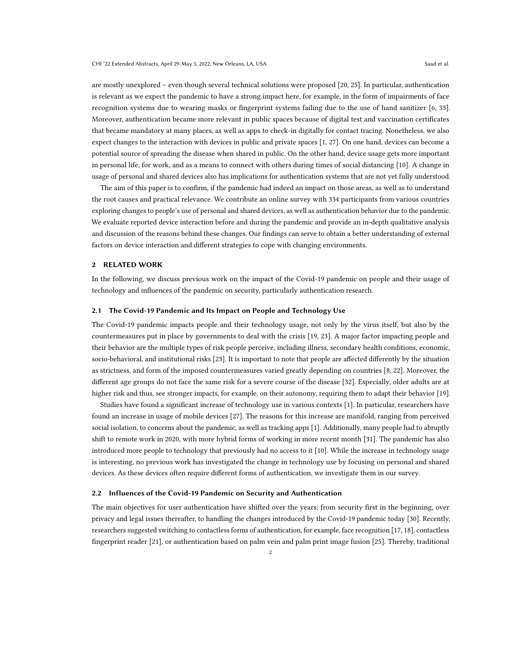are mostly unexplored – even though several technical solutions were proposed [\[20,](#page-9-2) [25\]](#page-9-3). In particular, authentication is relevant as we expect the pandemic to have a strong impact here, for example, in the form of impairments of face recognition systems due to wearing masks or fingerprint systems failing due to the use of hand sanitizer [\[6,](#page-8-2) [33\]](#page-9-4). Moreover, authentication became more relevant in public spaces because of digital test and vaccination certificates that became mandatory at many places, as well as apps to check-in digitally for contact tracing. Nonetheless, we also expect changes to the interaction with devices in public and private spaces [\[1,](#page-8-3) [27\]](#page-9-5). On one hand, devices can become a potential source of spreading the disease when shared in public. On the other hand, device usage gets more important in personal life, for work, and as a means to connect with others during times of social distancing [\[10\]](#page-8-4). A change in usage of personal and shared devices also has implications for authentication systems that are not yet fully understood.

The aim of this paper is to confirm, if the pandemic had indeed an impact on those areas, as well as to understand the root causes and practical relevance. We contribute an online survey with 334 participants from various countries exploring changes to people's use of personal and shared devices, as well as authentication behavior due to the pandemic. We evaluate reported device interaction before and during the pandemic and provide an in-depth qualitative analysis and discussion of the reasons behind these changes. Our findings can serve to obtain a better understanding of external factors on device interaction and different strategies to cope with changing environments.

## 2 RELATED WORK

In the following, we discuss previous work on the impact of the Covid-19 pandemic on people and their usage of technology and influences of the pandemic on security, particularly authentication research.

## 2.1 The Covid-19 Pandemic and Its Impact on People and Technology Use

The Covid-19 pandemic impacts people and their technology usage, not only by the virus itself, but also by the countermeasures put in place by governments to deal with the crisis [\[19,](#page-9-6) [23\]](#page-9-7). A major factor impacting people and their behavior are the multiple types of risk people perceive, including illness, secondary health conditions, economic, socio-behavioral, and institutional risks [\[23\]](#page-9-7). It is important to note that people are affected differently by the situation as strictness, and form of the imposed countermeasures varied greatly depending on countries [\[8,](#page-8-5) [22\]](#page-9-8). Moreover, the different age groups do not face the same risk for a severe course of the disease [\[32\]](#page-9-9). Especially, older adults are at higher risk and thus, see stronger impacts, for example, on their autonomy, requiring them to adapt their behavior [\[19\]](#page-9-6).

Studies have found a significant increase of technology use in various contexts [\[1\]](#page-8-3). In particular, researchers have found an increase in usage of mobile devices [\[27\]](#page-9-5). The reasons for this increase are manifold, ranging from perceived social isolation, to concerns about the pandemic, as well as tracking apps [\[1\]](#page-8-3). Additionally, many people had to abruptly shift to remote work in 2020, with more hybrid forms of working in more recent month [\[31\]](#page-9-10). The pandemic has also introduced more people to technology that previously had no access to it [\[10\]](#page-8-4). While the increase in technology usage is interesting, no previous work has investigated the change in technology use by focusing on personal and shared devices. As these devices often require different forms of authentication, we investigate them in our survey.

#### 2.2 Influences of the Covid-19 Pandemic on Security and Authentication

The main objectives for user authentication have shifted over the years; from security first in the beginning, over privacy and legal issues thereafter, to handling the changes introduced by the Covid-19 pandemic today [\[30\]](#page-9-11). Recently, researchers suggested switching to contactless forms of authentication, for example, face recognition [\[17,](#page-9-12) [18\]](#page-9-13), contactless fingerprint reader [\[21\]](#page-9-14), or authentication based on palm vein and palm print image fusion [\[25\]](#page-9-3). Thereby, traditional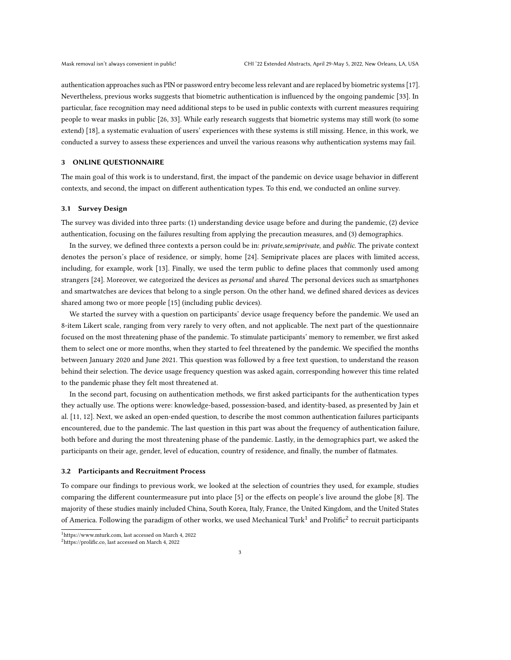authentication approaches such as PIN or password entry become less relevant and are replaced by biometric systems [\[17\]](#page-9-12). Nevertheless, previous works suggests that biometric authentication is influenced by the ongoing pandemic [\[33\]](#page-9-4). In particular, face recognition may need additional steps to be used in public contexts with current measures requiring people to wear masks in public [\[26,](#page-9-15) [33\]](#page-9-4). While early research suggests that biometric systems may still work (to some extend) [\[18\]](#page-9-13), a systematic evaluation of users' experiences with these systems is still missing. Hence, in this work, we conducted a survey to assess these experiences and unveil the various reasons why authentication systems may fail.

#### 3 ONLINE QUESTIONNAIRE

The main goal of this work is to understand, first, the impact of the pandemic on device usage behavior in different contexts, and second, the impact on different authentication types. To this end, we conducted an online survey.

#### 3.1 Survey Design

The survey was divided into three parts: (1) understanding device usage before and during the pandemic, (2) device authentication, focusing on the failures resulting from applying the precaution measures, and (3) demographics.

In the survey, we defined three contexts a person could be in: *private, semiprivate*, and *public*. The private context denotes the person's place of residence, or simply, home [\[24\]](#page-9-16). Semiprivate places are places with limited access, including, for example, work [\[13\]](#page-9-17). Finally, we used the term public to define places that commonly used among strangers [\[24\]](#page-9-16). Moreover, we categorized the devices as *personal* and shared. The personal devices such as smartphones and smartwatches are devices that belong to a single person. On the other hand, we defined shared devices as devices shared among two or more people [\[15\]](#page-9-18) (including public devices).

We started the survey with a question on participants' device usage frequency before the pandemic. We used an 8-item Likert scale, ranging from very rarely to very often, and not applicable. The next part of the questionnaire focused on the most threatening phase of the pandemic. To stimulate participants' memory to remember, we first asked them to select one or more months, when they started to feel threatened by the pandemic. We specified the months between January 2020 and June 2021. This question was followed by a free text question, to understand the reason behind their selection. The device usage frequency question was asked again, corresponding however this time related to the pandemic phase they felt most threatened at.

In the second part, focusing on authentication methods, we first asked participants for the authentication types they actually use. The options were: knowledge-based, possession-based, and identity-based, as presented by Jain et al. [\[11,](#page-8-6) [12\]](#page-9-19). Next, we asked an open-ended question, to describe the most common authentication failures participants encountered, due to the pandemic. The last question in this part was about the frequency of authentication failure, both before and during the most threatening phase of the pandemic. Lastly, in the demographics part, we asked the participants on their age, gender, level of education, country of residence, and finally, the number of flatmates.

## 3.2 Participants and Recruitment Process

To compare our findings to previous work, we looked at the selection of countries they used, for example, studies comparing the different countermeasure put into place [\[5\]](#page-8-7) or the effects on people's live around the globe [\[8\]](#page-8-5). The majority of these studies mainly included China, South Korea, Italy, France, the United Kingdom, and the United States of America. Following the paradigm of other works, we used Mechanical Turk $^1$  $^1$  and Prolific $^2$  $^2$  to recruit participants

<span id="page-2-0"></span><sup>1</sup>[https://www.mturk.com,](https://www.mturk.com) last accessed on March 4, 2022

<span id="page-2-1"></span><sup>2</sup>[https://prolific.co,](https://prolific.co) last accessed on March 4, 2022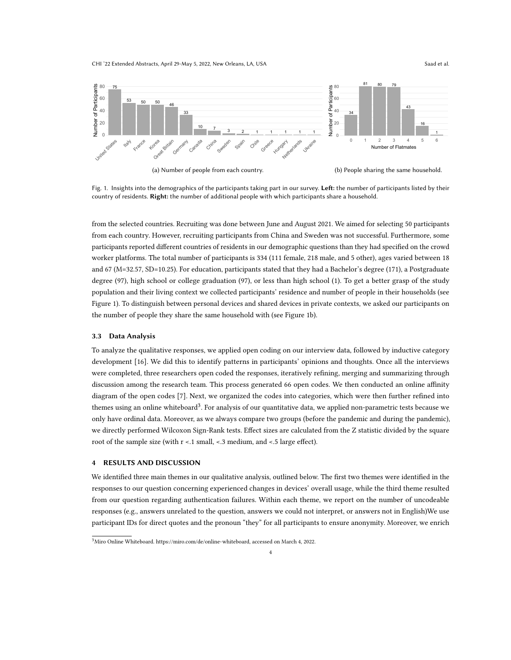CHI '22 Extended Abstracts, April 29-May 5, 2022, New Orleans, LA, USA Saad et al. Saad et al.

<span id="page-3-0"></span>

Fig. 1. Insights into the demographics of the participants taking part in our survey. Left: the number of participants listed by their country of residents. Right: the number of additional people with which participants share a household.

from the selected countries. Recruiting was done between June and August 2021. We aimed for selecting 50 participants from each country. However, recruiting participants from China and Sweden was not successful. Furthermore, some participants reported different countries of residents in our demographic questions than they had specified on the crowd worker platforms. The total number of participants is 334 (111 female, 218 male, and 5 other), ages varied between 18 and 67 (M=32.57, SD=10.25). For education, participants stated that they had a Bachelor's degree (171), a Postgraduate degree (97), high school or college graduation (97), or less than high school (1). To get a better grasp of the study population and their living context we collected participants' residence and number of people in their households (see [Figure 1\)](#page-3-0). To distinguish between personal devices and shared devices in private contexts, we asked our participants on the number of people they share the same household with (see [Figure 1b\)](#page-3-0).

#### 3.3 Data Analysis

To analyze the qualitative responses, we applied open coding on our interview data, followed by inductive category development [\[16\]](#page-9-20). We did this to identify patterns in participants' opinions and thoughts. Once all the interviews were completed, three researchers open coded the responses, iteratively refining, merging and summarizing through discussion among the research team. This process generated 66 open codes. We then conducted an online affinity diagram of the open codes [\[7\]](#page-8-8). Next, we organized the codes into categories, which were then further refined into themes using an online whiteboard<sup>[3](#page-3-1)</sup>. For analysis of our quantitative data, we applied non-parametric tests because we only have ordinal data. Moreover, as we always compare two groups (before the pandemic and during the pandemic), we directly performed Wilcoxon Sign-Rank tests. Effect sizes are calculated from the Z statistic divided by the square root of the sample size (with r <.1 small, <.3 medium, and <.5 large effect).

## 4 RESULTS AND DISCUSSION

We identified three main themes in our qualitative analysis, outlined below. The first two themes were identified in the responses to our question concerning experienced changes in devices' overall usage, while the third theme resulted from our question regarding authentication failures. Within each theme, we report on the number of uncodeable responses (e.g., answers unrelated to the question, answers we could not interpret, or answers not in English)We use participant IDs for direct quotes and the pronoun "they" for all participants to ensure anonymity. Moreover, we enrich

<span id="page-3-1"></span><sup>3</sup>Miro Online Whiteboard. [https://miro.com/de/online-whiteboard,](https://miro.com/de/online-whiteboard) accessed on March 4, 2022.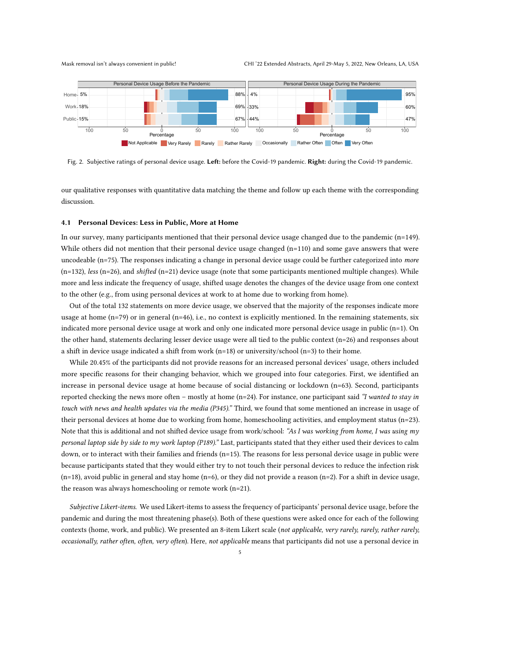<span id="page-4-0"></span>

Fig. 2. Subjective ratings of personal device usage. Left: before the Covid-19 pandemic. Right: during the Covid-19 pandemic.

our qualitative responses with quantitative data matching the theme and follow up each theme with the corresponding discussion.

### 4.1 Personal Devices: Less in Public, More at Home

In our survey, many participants mentioned that their personal device usage changed due to the pandemic (n=149). While others did not mention that their personal device usage changed  $(n=110)$  and some gave answers that were uncodeable (n=75). The responses indicating a change in personal device usage could be further categorized into more  $(n=132)$ , less  $(n=26)$ , and shifted  $(n=21)$  device usage (note that some participants mentioned multiple changes). While more and less indicate the frequency of usage, shifted usage denotes the changes of the device usage from one context to the other (e.g., from using personal devices at work to at home due to working from home).

Out of the total 132 statements on more device usage, we observed that the majority of the responses indicate more usage at home  $(n=79)$  or in general  $(n=46)$ , i.e., no context is explicitly mentioned. In the remaining statements, six indicated more personal device usage at work and only one indicated more personal device usage in public (n=1). On the other hand, statements declaring lesser device usage were all tied to the public context (n=26) and responses about a shift in device usage indicated a shift from work  $(n=18)$  or university/school  $(n=3)$  to their home.

While 20.45% of the participants did not provide reasons for an increased personal devices' usage, others included more specific reasons for their changing behavior, which we grouped into four categories. First, we identified an increase in personal device usage at home because of social distancing or lockdown (n=63). Second, participants reported checking the news more often – mostly at home  $(n=24)$ . For instance, one participant said "I wanted to stay in touch with news and health updates via the media (P345)." Third, we found that some mentioned an increase in usage of their personal devices at home due to working from home, homeschooling activities, and employment status (n=23). Note that this is additional and not shifted device usage from work/school: "As I was working from home, I was using  $my$ personal laptop side by side to my work laptop (P189)." Last, participants stated that they either used their devices to calm down, or to interact with their families and friends (n=15). The reasons for less personal device usage in public were because participants stated that they would either try to not touch their personal devices to reduce the infection risk  $(n=18)$ , avoid public in general and stay home  $(n=6)$ , or they did not provide a reason  $(n=2)$ . For a shift in device usage, the reason was always homeschooling or remote work (n=21).

Subjective Likert-items. We used Likert-items to assess the frequency of participants' personal device usage, before the pandemic and during the most threatening phase(s). Both of these questions were asked once for each of the following contexts (home, work, and public). We presented an 8-item Likert scale (not applicable, very rarely, rarely, rather rarely, occasionally, rather often, often, very often). Here, not applicable means that participants did not use a personal device in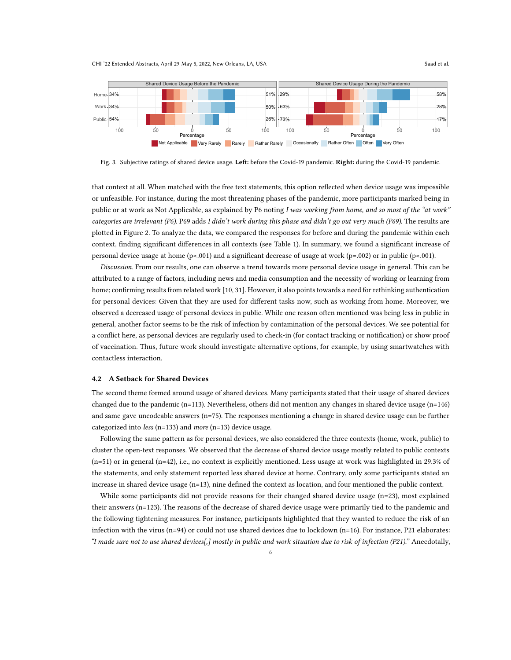CHI '22 Extended Abstracts, April 29-May 5, 2022, New Orleans, LA, USA Saad et al. Saad et al.

<span id="page-5-0"></span>

Fig. 3. Subjective ratings of shared device usage. Left: before the Covid-19 pandemic. Right: during the Covid-19 pandemic.

that context at all. When matched with the free text statements, this option reflected when device usage was impossible or unfeasible. For instance, during the most threatening phases of the pandemic, more participants marked being in public or at work as Not Applicable, as explained by P6 noting I was working from home, and so most of the "at work" categories are irrelevant (P6). P69 adds I didn't work during this phase and didn't go out very much (P69). The results are plotted in [Figure 2.](#page-4-0) To analyze the data, we compared the responses for before and during the pandemic within each context, finding significant differences in all contexts (see [Table 1\)](#page-6-0). In summary, we found a significant increase of personal device usage at home (p<.001) and a significant decrease of usage at work (p=.002) or in public (p<.001).

Discussion. From our results, one can observe a trend towards more personal device usage in general. This can be attributed to a range of factors, including news and media consumption and the necessity of working or learning from home; confirming results from related work [\[10,](#page-8-4) [31\]](#page-9-10). However, it also points towards a need for rethinking authentication for personal devices: Given that they are used for different tasks now, such as working from home. Moreover, we observed a decreased usage of personal devices in public. While one reason often mentioned was being less in public in general, another factor seems to be the risk of infection by contamination of the personal devices. We see potential for a conflict here, as personal devices are regularly used to check-in (for contact tracking or notification) or show proof of vaccination. Thus, future work should investigate alternative options, for example, by using smartwatches with contactless interaction.

#### 4.2 A Setback for Shared Devices

The second theme formed around usage of shared devices. Many participants stated that their usage of shared devices changed due to the pandemic (n=113). Nevertheless, others did not mention any changes in shared device usage (n=146) and same gave uncodeable answers ( $n=75$ ). The responses mentioning a change in shared device usage can be further categorized into less (n=133) and more (n=13) device usage.

Following the same pattern as for personal devices, we also considered the three contexts (home, work, public) to cluster the open-text responses. We observed that the decrease of shared device usage mostly related to public contexts (n=51) or in general (n=42), i.e., no context is explicitly mentioned. Less usage at work was highlighted in 29.3% of the statements, and only statement reported less shared device at home. Contrary, only some participants stated an increase in shared device usage (n=13), nine defined the context as location, and four mentioned the public context.

While some participants did not provide reasons for their changed shared device usage (n=23), most explained their answers (n=123). The reasons of the decrease of shared device usage were primarily tied to the pandemic and the following tightening measures. For instance, participants highlighted that they wanted to reduce the risk of an infection with the virus (n=94) or could not use shared devices due to lockdown (n=16). For instance, P21 elaborates: "I made sure not to use shared devices[,] mostly in public and work situation due to risk of infection (P21)." Anecdotally,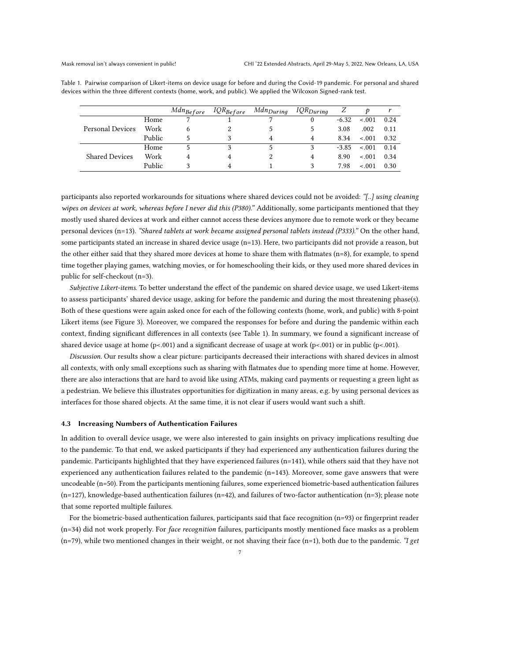<span id="page-6-0"></span>

| Table 1. Pairwise comparison of Likert-items on device usage for before and during the Covid-19 pandemic. For personal and shared |  |  |
|-----------------------------------------------------------------------------------------------------------------------------------|--|--|
| devices within the three different contexts (home, work, and public). We applied the Wilcoxon Signed-rank test.                   |  |  |

|                         |        | $Mdn_{Before}$ | $IQR_{Before}$ | $Mdn_{During}$ | $IQR_{During}$ | Ζ       | Ð       |      |
|-------------------------|--------|----------------|----------------|----------------|----------------|---------|---------|------|
| <b>Personal Devices</b> | Home   |                |                |                | 0              | $-6.32$ | $-.001$ | 0.24 |
|                         | Work   |                |                |                | 5              | 3.08    | .002    | 0.11 |
|                         | Public |                |                | 4              | 4              | 8.34    | $-.001$ | 0.32 |
| <b>Shared Devices</b>   | Home   |                |                |                |                | $-3.85$ | $-.001$ | 0.14 |
|                         | Work   |                |                |                | 4              | 8.90    | $-.001$ | 0.34 |
|                         | Public |                |                |                |                | 7.98    | $-.001$ | 0.30 |

participants also reported workarounds for situations where shared devices could not be avoided: "[..] using cleaning wipes on devices at work, whereas before I never did this (P380)." Additionally, some participants mentioned that they mostly used shared devices at work and either cannot access these devices anymore due to remote work or they became personal devices (n=13). "Shared tablets at work became assigned personal tablets instead (P333)." On the other hand, some participants stated an increase in shared device usage (n=13). Here, two participants did not provide a reason, but the other either said that they shared more devices at home to share them with flatmates (n=8), for example, to spend time together playing games, watching movies, or for homeschooling their kids, or they used more shared devices in public for self-checkout (n=3).

Subjective Likert-items. To better understand the effect of the pandemic on shared device usage, we used Likert-items to assess participants' shared device usage, asking for before the pandemic and during the most threatening phase(s). Both of these questions were again asked once for each of the following contexts (home, work, and public) with 8-point Likert items (see [Figure 3\)](#page-5-0). Moreover, we compared the responses for before and during the pandemic within each context, finding significant differences in all contexts (see [Table 1\)](#page-6-0). In summary, we found a significant increase of shared device usage at home (p<.001) and a significant decrease of usage at work (p<.001) or in public (p<.001).

Discussion. Our results show a clear picture: participants decreased their interactions with shared devices in almost all contexts, with only small exceptions such as sharing with flatmates due to spending more time at home. However, there are also interactions that are hard to avoid like using ATMs, making card payments or requesting a green light as a pedestrian. We believe this illustrates opportunities for digitization in many areas, e.g. by using personal devices as interfaces for those shared objects. At the same time, it is not clear if users would want such a shift.

#### 4.3 Increasing Numbers of Authentication Failures

In addition to overall device usage, we were also interested to gain insights on privacy implications resulting due to the pandemic. To that end, we asked participants if they had experienced any authentication failures during the pandemic. Participants highlighted that they have experienced failures (n=141), while others said that they have not experienced any authentication failures related to the pandemic (n=143). Moreover, some gave answers that were uncodeable (n=50). From the participants mentioning failures, some experienced biometric-based authentication failures (n=127), knowledge-based authentication failures (n=42), and failures of two-factor authentication (n=3); please note that some reported multiple failures.

For the biometric-based authentication failures, participants said that face recognition (n=93) or fingerprint reader (n=34) did not work properly. For face recognition failures, participants mostly mentioned face masks as a problem  $(n=79)$ , while two mentioned changes in their weight, or not shaving their face  $(n=1)$ , both due to the pandemic. "I get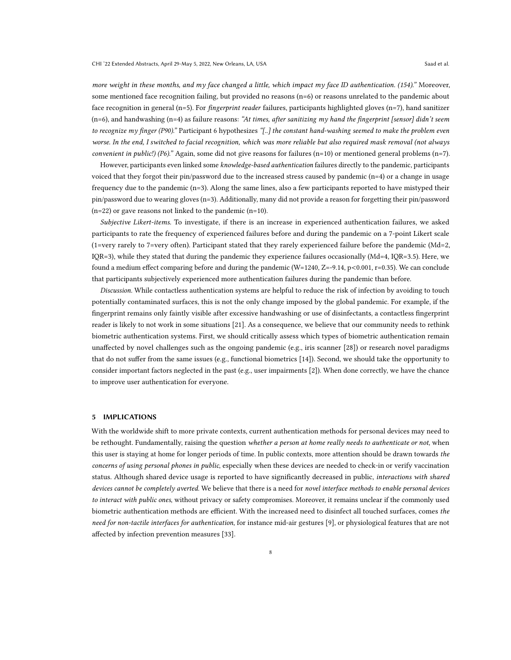more weight in these months, and my face changed a little, which impact my face ID authentication. (154)." Moreover, some mentioned face recognition failing, but provided no reasons (n=6) or reasons unrelated to the pandemic about face recognition in general (n=5). For *fingerprint reader* failures, participants highlighted gloves (n=7), hand sanitizer  $(n=6)$ , and handwashing  $(n=4)$  as failure reasons: "At times, after sanitizing my hand the fingerprint [sensor] didn't seem to recognize my finger (P90)." Participant 6 hypothesizes "[..] the constant hand-washing seemed to make the problem even worse. In the end, I switched to facial recognition, which was more reliable but also required mask removal (not always convenient in public!) (P6)." Again, some did not give reasons for failures (n=10) or mentioned general problems (n=7).

However, participants even linked some knowledge-based authentication failures directly to the pandemic, participants voiced that they forgot their pin/password due to the increased stress caused by pandemic  $(n=4)$  or a change in usage frequency due to the pandemic (n=3). Along the same lines, also a few participants reported to have mistyped their pin/password due to wearing gloves (n=3). Additionally, many did not provide a reason for forgetting their pin/password (n=22) or gave reasons not linked to the pandemic (n=10).

Subjective Likert-items. To investigate, if there is an increase in experienced authentication failures, we asked participants to rate the frequency of experienced failures before and during the pandemic on a 7-point Likert scale (1=very rarely to 7=very often). Participant stated that they rarely experienced failure before the pandemic (Md=2, IQR=3), while they stated that during the pandemic they experience failures occasionally (Md=4, IQR=3.5). Here, we found a medium effect comparing before and during the pandemic (W=1240, Z=-9.14, p<0.001, r=0.35). We can conclude that participants subjectively experienced more authentication failures during the pandemic than before.

Discussion. While contactless authentication systems are helpful to reduce the risk of infection by avoiding to touch potentially contaminated surfaces, this is not the only change imposed by the global pandemic. For example, if the fingerprint remains only faintly visible after excessive handwashing or use of disinfectants, a contactless fingerprint reader is likely to not work in some situations [\[21\]](#page-9-14). As a consequence, we believe that our community needs to rethink biometric authentication systems. First, we should critically assess which types of biometric authentication remain unaffected by novel challenges such as the ongoing pandemic (e.g., iris scanner [\[28\]](#page-9-21)) or research novel paradigms that do not suffer from the same issues (e.g., functional biometrics [\[14\]](#page-9-22)). Second, we should take the opportunity to consider important factors neglected in the past (e.g., user impairments [\[2\]](#page-8-9)). When done correctly, we have the chance to improve user authentication for everyone.

# 5 IMPLICATIONS

With the worldwide shift to more private contexts, current authentication methods for personal devices may need to be rethought. Fundamentally, raising the question whether a person at home really needs to authenticate or not, when this user is staying at home for longer periods of time. In public contexts, more attention should be drawn towards the concerns of using personal phones in public, especially when these devices are needed to check-in or verify vaccination status. Although shared device usage is reported to have significantly decreased in public, interactions with shared devices cannot be completely averted. We believe that there is a need for novel interface methods to enable personal devices to interact with public ones, without privacy or safety compromises. Moreover, it remains unclear if the commonly used biometric authentication methods are efficient. With the increased need to disinfect all touched surfaces, comes the need for non-tactile interfaces for authentication, for instance mid-air gestures [\[9\]](#page-8-10), or physiological features that are not affected by infection prevention measures [\[33\]](#page-9-4).

8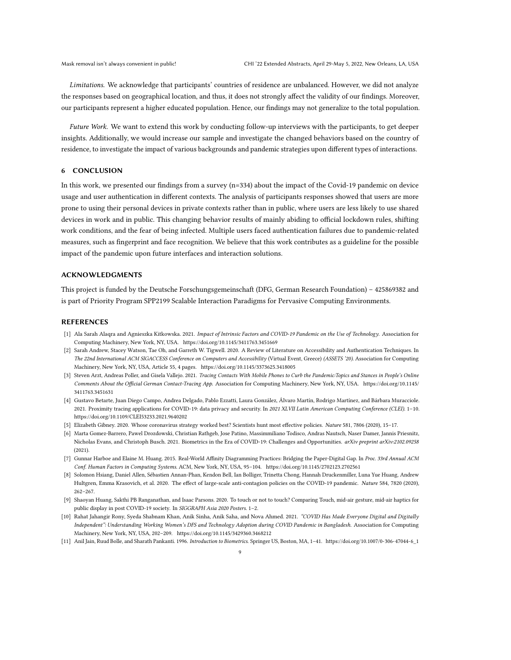Limitations. We acknowledge that participants' countries of residence are unbalanced. However, we did not analyze the responses based on geographical location, and thus, it does not strongly affect the validity of our findings. Moreover, our participants represent a higher educated population. Hence, our findings may not generalize to the total population.

Future Work. We want to extend this work by conducting follow-up interviews with the participants, to get deeper insights. Additionally, we would increase our sample and investigate the changed behaviors based on the country of residence, to investigate the impact of various backgrounds and pandemic strategies upon different types of interactions.

## 6 CONCLUSION

In this work, we presented our findings from a survey (n=334) about the impact of the Covid-19 pandemic on device usage and user authentication in different contexts. The analysis of participants responses showed that users are more prone to using their personal devices in private contexts rather than in public, where users are less likely to use shared devices in work and in public. This changing behavior results of mainly abiding to official lockdown rules, shifting work conditions, and the fear of being infected. Multiple users faced authentication failures due to pandemic-related measures, such as fingerprint and face recognition. We believe that this work contributes as a guideline for the possible impact of the pandemic upon future interfaces and interaction solutions.

## ACKNOWLEDGMENTS

This project is funded by the Deutsche Forschungsgemeinschaft (DFG, German Research Foundation) – 425869382 and is part of Priority Program SPP2199 Scalable Interaction Paradigms for Pervasive Computing Environments.

## **REFERENCES**

- <span id="page-8-3"></span>[1] Ala Sarah Alaqra and Agnieszka Kitkowska. 2021. Impact of Intrinsic Factors and COVID-19 Pandemic on the Use of Technology. Association for Computing Machinery, New York, NY, USA.<https://doi.org/10.1145/3411763.3451669>
- <span id="page-8-9"></span>[2] Sarah Andrew, Stacey Watson, Tae Oh, and Garreth W. Tigwell. 2020. A Review of Literature on Accessibility and Authentication Techniques. In The 22nd International ACM SIGACCESS Conference on Computers and Accessibility (Virtual Event, Greece) (ASSETS '20). Association for Computing Machinery, New York, NY, USA, Article 55, 4 pages.<https://doi.org/10.1145/3373625.3418005>
- <span id="page-8-0"></span>[3] Steven Arzt, Andreas Poller, and Gisela Vallejo. 2021. Tracing Contacts With Mobile Phones to Curb the Pandemic:Topics and Stances in People's Online Comments About the Official German Contact-Tracing App. Association for Computing Machinery, New York, NY, USA. [https://doi.org/10.1145/](https://doi.org/10.1145/3411763.3451631) [3411763.3451631](https://doi.org/10.1145/3411763.3451631)
- <span id="page-8-1"></span>[4] Gustavo Betarte, Juan Diego Campo, Andrea Delgado, Pablo Ezzatti, Laura González, Álvaro Martín, Rodrigo Martínez, and Bárbara Muracciole. 2021. Proximity tracing applications for COVID-19: data privacy and security. In 2021 XLVII Latin American Computing Conference (CLEI). 1–10. <https://doi.org/10.1109/CLEI53233.2021.9640202>
- <span id="page-8-7"></span>[5] Elizabeth Gibney. 2020. Whose coronavirus strategy worked best? Scientists hunt most effective policies. Nature 581, 7806 (2020), 15–17.
- <span id="page-8-2"></span>[6] Marta Gomez-Barrero, Pawel Drozdowski, Christian Rathgeb, Jose Patino, Massimmiliano Todisco, Andras Nautsch, Naser Damer, Jannis Priesnitz, Nicholas Evans, and Christoph Busch. 2021. Biometrics in the Era of COVID-19: Challenges and Opportunities. arXiv preprint arXiv:2102.09258 (2021).
- <span id="page-8-8"></span>[7] Gunnar Harboe and Elaine M. Huang. 2015. Real-World Affinity Diagramming Practices: Bridging the Paper-Digital Gap. In Proc. 33rd Annual ACM Conf. Human Factors in Computing Systems. ACM, New York, NY, USA, 95–104.<https://doi.org/10.1145/2702123.2702561>
- <span id="page-8-5"></span>[8] Solomon Hsiang, Daniel Allen, Sébastien Annan-Phan, Kendon Bell, Ian Bolliger, Trinetta Chong, Hannah Druckenmiller, Luna Yue Huang, Andrew Hultgren, Emma Krasovich, et al. 2020. The effect of large-scale anti-contagion policies on the COVID-19 pandemic. Nature 584, 7820 (2020), 262–267.
- <span id="page-8-10"></span>[9] Shaoyan Huang, Sakthi PB Ranganathan, and Isaac Parsons. 2020. To touch or not to touch? Comparing Touch, mid-air gesture, mid-air haptics for public display in post COVID-19 society. In SIGGRAPH Asia 2020 Posters. 1–2.
- <span id="page-8-4"></span>[10] Rahat Jahangir Rony, Syeda Shabnam Khan, Anik Sinha, Anik Saha, and Nova Ahmed. 2021. "COVID Has Made Everyone Digital and Digitally Independent": Understanding Working Women's DFS and Technology Adoption during COVID Pandemic in Bangladesh. Association for Computing Machinery, New York, NY, USA, 202–209.<https://doi.org/10.1145/3429360.3468212>
- <span id="page-8-6"></span>[11] Anil Jain, Ruud Bolle, and Sharath Pankanti. 1996. Introduction to Biometrics. Springer US, Boston, MA, 1–41. [https://doi.org/10.1007/0-306-47044-6\\_1](https://doi.org/10.1007/0-306-47044-6_1)